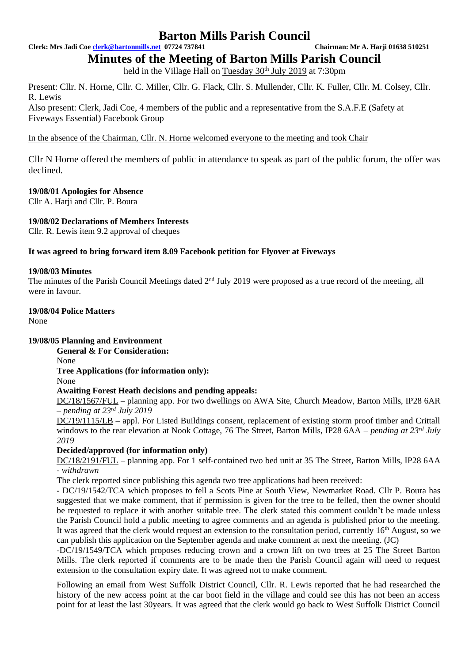**Clerk: Mrs Jadi Coe [clerk@bartonmills.net](mailto:clerk@bartonmills.net) 07724 737841 Chairman: Mr A. Harji 01638 510251**

**Minutes of the Meeting of Barton Mills Parish Council**

held in the Village Hall on Tuesday 30<sup>th</sup> July 2019 at 7:30pm

Present: Cllr. N. Horne, Cllr. C. Miller, Cllr. G. Flack, Cllr. S. Mullender, Cllr. K. Fuller, Cllr. M. Colsey, Cllr. R. Lewis

Also present: Clerk, Jadi Coe, 4 members of the public and a representative from the S.A.F.E (Safety at Fiveways Essential) Facebook Group

In the absence of the Chairman, Cllr. N. Horne welcomed everyone to the meeting and took Chair

Cllr N Horne offered the members of public in attendance to speak as part of the public forum, the offer was declined.

# **19/08/01 Apologies for Absence**

Cllr A. Harii and Cllr. P. Boura

# **19/08/02 Declarations of Members Interests**

Cllr. R. Lewis item 9.2 approval of cheques

# **It was agreed to bring forward item 8.09 Facebook petition for Flyover at Fiveways**

# **19/08/03 Minutes**

The minutes of the Parish Council Meetings dated 2<sup>nd</sup> July 2019 were proposed as a true record of the meeting, all were in favour.

# **19/08/04 Police Matters**

None

# **19/08/05 Planning and Environment**

**General & For Consideration:**

None

**Tree Applications (for information only):**

None

# **Awaiting Forest Heath decisions and pending appeals:**

DC/18/1567/FUL – planning app. For two dwellings on AWA Site, Church Meadow, Barton Mills, IP28 6AR *– pending at 23rd July 2019*

DC/19/1115/LB – appl. For Listed Buildings consent, replacement of existing storm proof timber and Crittall windows to the rear elevation at Nook Cottage, 76 The Street, Barton Mills, IP28 6AA *– pending at 23rd July 2019*

# **Decided/approved (for information only)**

DC/18/2191/FUL – planning app. For 1 self-contained two bed unit at 35 The Street, Barton Mills, IP28 6AA *- withdrawn*

The clerk reported since publishing this agenda two tree applications had been received:

- DC/19/1542/TCA which proposes to fell a Scots Pine at South View, Newmarket Road. Cllr P. Boura has suggested that we make comment, that if permission is given for the tree to be felled, then the owner should be requested to replace it with another suitable tree. The clerk stated this comment couldn't be made unless the Parish Council hold a public meeting to agree comments and an agenda is published prior to the meeting. It was agreed that the clerk would request an extension to the consultation period, currently 16<sup>th</sup> August, so we can publish this application on the September agenda and make comment at next the meeting. (JC)

-DC/19/1549/TCA which proposes reducing crown and a crown lift on two trees at 25 The Street Barton Mills. The clerk reported if comments are to be made then the Parish Council again will need to request extension to the consultation expiry date. It was agreed not to make comment.

Following an email from West Suffolk District Council, Cllr. R. Lewis reported that he had researched the history of the new access point at the car boot field in the village and could see this has not been an access point for at least the last 30years. It was agreed that the clerk would go back to West Suffolk District Council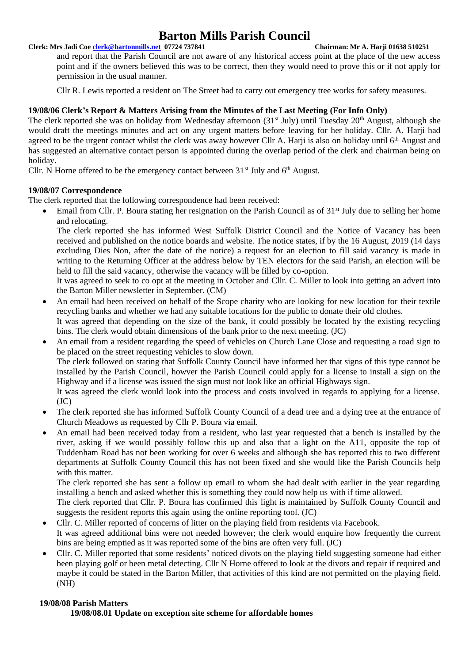### **Clerk: Mrs Jadi Coe [clerk@bartonmills.net](mailto:clerk@bartonmills.net) 07724 737841 Chairman: Mr A. Harji 01638 510251**

and report that the Parish Council are not aware of any historical access point at the place of the new access point and if the owners believed this was to be correct, then they would need to prove this or if not apply for permission in the usual manner.

Cllr R. Lewis reported a resident on The Street had to carry out emergency tree works for safety measures.

# **19/08/06 Clerk's Report & Matters Arising from the Minutes of the Last Meeting (For Info Only)**

The clerk reported she was on holiday from Wednesday afternoon  $(31<sup>st</sup> July)$  until Tuesday  $20<sup>th</sup> August$ , although she would draft the meetings minutes and act on any urgent matters before leaving for her holiday. Cllr. A. Harji had agreed to be the urgent contact whilst the clerk was away however Cllr A. Harji is also on holiday until 6<sup>th</sup> August and has suggested an alternative contact person is appointed during the overlap period of the clerk and chairman being on holiday.

Cllr. N Horne offered to be the emergency contact between  $31<sup>st</sup>$  July and  $6<sup>th</sup>$  August.

### **19/08/07 Correspondence**

The clerk reported that the following correspondence had been received:

Email from Cllr. P. Boura stating her resignation on the Parish Council as of 31<sup>st</sup> July due to selling her home and relocating.

The clerk reported she has informed West Suffolk District Council and the Notice of Vacancy has been received and published on the notice boards and website. The notice states, if by the 16 August, 2019 (14 days excluding Dies Non, after the date of the notice) a request for an election to fill said vacancy is made in writing to the Returning Officer at the address below by TEN electors for the said Parish, an election will be held to fill the said vacancy, otherwise the vacancy will be filled by co-option.

It was agreed to seek to co opt at the meeting in October and Cllr. C. Miller to look into getting an advert into the Barton Miller newsletter in September. (CM)

- An email had been received on behalf of the Scope charity who are looking for new location for their textile recycling banks and whether we had any suitable locations for the public to donate their old clothes. It was agreed that depending on the size of the bank, it could possibly be located by the existing recycling bins. The clerk would obtain dimensions of the bank prior to the next meeting. (JC)
- An email from a resident regarding the speed of vehicles on Church Lane Close and requesting a road sign to be placed on the street requesting vehicles to slow down. The clerk followed on stating that Suffolk County Council have informed her that signs of this type cannot be installed by the Parish Council, howver the Parish Council could apply for a license to install a sign on the Highway and if a license was issued the sign must not look like an official Highways sign.

It was agreed the clerk would look into the process and costs involved in regards to applying for a license.  $(JC)$ 

- The clerk reported she has informed Suffolk County Council of a dead tree and a dying tree at the entrance of Church Meadows as requested by Cllr P. Boura via email.
- An email had been received today from a resident, who last year requested that a bench is installed by the river, asking if we would possibly follow this up and also that a light on the A11, opposite the top of Tuddenham Road has not been working for over 6 weeks and although she has reported this to two different departments at Suffolk County Council this has not been fixed and she would like the Parish Councils help with this matter.

The clerk reported she has sent a follow up email to whom she had dealt with earlier in the year regarding installing a bench and asked whether this is something they could now help us with if time allowed.

The clerk reported that Cllr. P. Boura has confirmed this light is maintained by Suffolk County Council and suggests the resident reports this again using the online reporting tool. (JC)

- Cllr. C. Miller reported of concerns of litter on the playing field from residents via Facebook. It was agreed additional bins were not needed however; the clerk would enquire how frequently the current bins are being emptied as it was reported some of the bins are often very full. (JC)
- Cllr. C. Miller reported that some residents' noticed divots on the playing field suggesting someone had either been playing golf or been metal detecting. Cllr N Horne offered to look at the divots and repair if required and maybe it could be stated in the Barton Miller, that activities of this kind are not permitted on the playing field. (NH)

# **19/08/08 Parish Matters**

**19/08/08.01 Update on exception site scheme for affordable homes**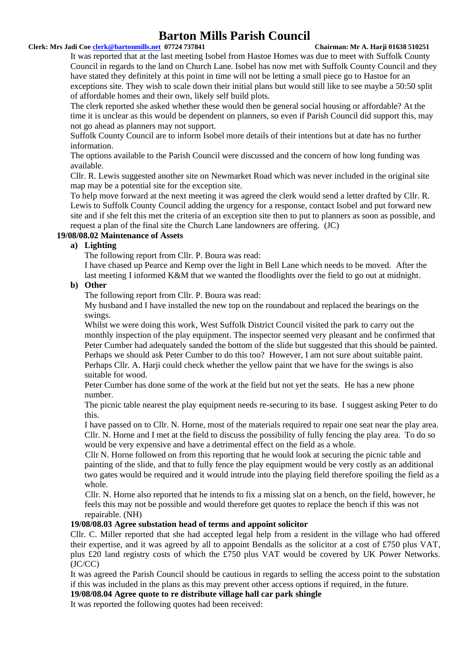#### **Clerk: Mrs Jadi Coe [clerk@bartonmills.net](mailto:clerk@bartonmills.net) 07724 737841 Chairman: Mr A. Harji 01638 510251**

It was reported that at the last meeting Isobel from Hastoe Homes was due to meet with Suffolk County Council in regards to the land on Church Lane. Isobel has now met with Suffolk County Council and they have stated they definitely at this point in time will not be letting a small piece go to Hastoe for an exceptions site. They wish to scale down their initial plans but would still like to see maybe a 50:50 split of affordable homes and their own, likely self build plots.

The clerk reported she asked whether these would then be general social housing or affordable? At the time it is unclear as this would be dependent on planners, so even if Parish Council did support this, may not go ahead as planners may not support.

Suffolk County Council are to inform Isobel more details of their intentions but at date has no further information.

The options available to the Parish Council were discussed and the concern of how long funding was available.

Cllr. R. Lewis suggested another site on Newmarket Road which was never included in the original site map may be a potential site for the exception site.

To help move forward at the next meeting it was agreed the clerk would send a letter drafted by Cllr. R. Lewis to Suffolk County Council adding the urgency for a response, contact Isobel and put forward new site and if she felt this met the criteria of an exception site then to put to planners as soon as possible, and request a plan of the final site the Church Lane landowners are offering. (JC)

#### **19/08/08.02 Maintenance of Assets**

#### **a) Lighting**

The following report from Cllr. P. Boura was read:

I have chased up Pearce and Kemp over the light in Bell Lane which needs to be moved. After the last meeting I informed K&M that we wanted the floodlights over the field to go out at midnight.

# **b) Other**

The following report from Cllr. P. Boura was read:

My husband and I have installed the new top on the roundabout and replaced the bearings on the swings.

Whilst we were doing this work, West Suffolk District Council visited the park to carry out the monthly inspection of the play equipment. The inspector seemed very pleasant and he confirmed that Peter Cumber had adequately sanded the bottom of the slide but suggested that this should be painted. Perhaps we should ask Peter Cumber to do this too? However, I am not sure about suitable paint. Perhaps Cllr. A. Harji could check whether the yellow paint that we have for the swings is also suitable for wood.

Peter Cumber has done some of the work at the field but not yet the seats. He has a new phone number.

The picnic table nearest the play equipment needs re-securing to its base. I suggest asking Peter to do this.

I have passed on to Cllr. N. Horne, most of the materials required to repair one seat near the play area. Cllr. N. Horne and I met at the field to discuss the possibility of fully fencing the play area. To do so would be very expensive and have a detrimental effect on the field as a whole.

Cllr N. Horne followed on from this reporting that he would look at securing the picnic table and painting of the slide, and that to fully fence the play equipment would be very costly as an additional two gates would be required and it would intrude into the playing field therefore spoiling the field as a whole.

Cllr. N. Horne also reported that he intends to fix a missing slat on a bench, on the field, however, he feels this may not be possible and would therefore get quotes to replace the bench if this was not repairable. (NH)

#### **19/08/08.03 Agree substation head of terms and appoint solicitor**

Cllr. C. Miller reported that she had accepted legal help from a resident in the village who had offered their expertise, and it was agreed by all to appoint Bendalls as the solicitor at a cost of £750 plus VAT, plus £20 land registry costs of which the £750 plus VAT would be covered by UK Power Networks. (JC/CC)

It was agreed the Parish Council should be cautious in regards to selling the access point to the substation if this was included in the plans as this may prevent other access options if required, in the future.

### **19/08/08.04 Agree quote to re distribute village hall car park shingle**

It was reported the following quotes had been received: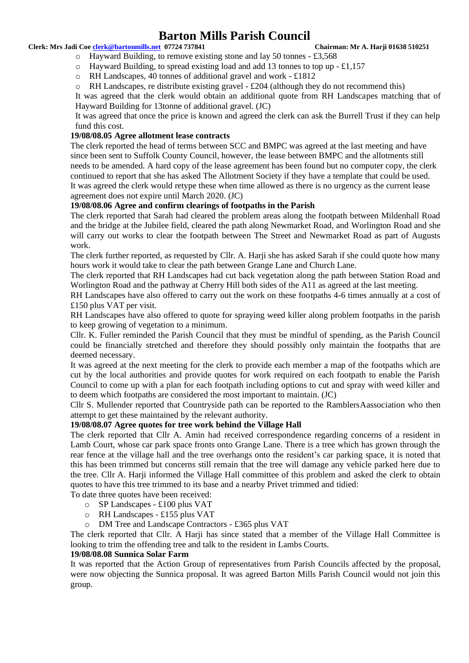#### **Clerk: Mrs Jadi Coe [clerk@bartonmills.net](mailto:clerk@bartonmills.net) 07724 737841 Chairman: Mr A. Harji 01638 510251**

o Hayward Building, to remove existing stone and lay 50 tonnes - £3,568

- $\circ$  Hayward Building, to spread existing load and add 13 tonnes to top up £1,157
- o RH Landscapes, 40 tonnes of additional gravel and work £1812
- $\circ$  RH Landscapes, redistribute existing gravel £204 (although they do not recommend this)

It was agreed that the clerk would obtain an additional quote from RH Landscapes matching that of Hayward Building for 13tonne of additional gravel. (JC)

It was agreed that once the price is known and agreed the clerk can ask the Burrell Trust if they can help fund this cost.

# **19/08/08.05 Agree allotment lease contracts**

The clerk reported the head of terms between SCC and BMPC was agreed at the last meeting and have since been sent to Suffolk County Council, however, the lease between BMPC and the allotments still needs to be amended. A hard copy of the lease agreement has been found but no computer copy, the clerk continued to report that she has asked The Allotment Society if they have a template that could be used. It was agreed the clerk would retype these when time allowed as there is no urgency as the current lease agreement does not expire until March 2020. (JC)

# **19/08/08.06 Agree and confirm clearings of footpaths in the Parish**

The clerk reported that Sarah had cleared the problem areas along the footpath between Mildenhall Road and the bridge at the Jubilee field, cleared the path along Newmarket Road, and Worlington Road and she will carry out works to clear the footpath between The Street and Newmarket Road as part of Augusts work.

The clerk further reported, as requested by Cllr. A. Harji she has asked Sarah if she could quote how many hours work it would take to clear the path between Grange Lane and Church Lane.

The clerk reported that RH Landscapes had cut back vegetation along the path between Station Road and Worlington Road and the pathway at Cherry Hill both sides of the A11 as agreed at the last meeting.

RH Landscapes have also offered to carry out the work on these footpaths 4-6 times annually at a cost of £150 plus VAT per visit.

RH Landscapes have also offered to quote for spraying weed killer along problem footpaths in the parish to keep growing of vegetation to a minimum.

Cllr. K. Fuller reminded the Parish Council that they must be mindful of spending, as the Parish Council could be financially stretched and therefore they should possibly only maintain the footpaths that are deemed necessary.

It was agreed at the next meeting for the clerk to provide each member a map of the footpaths which are cut by the local authorities and provide quotes for work required on each footpath to enable the Parish Council to come up with a plan for each footpath including options to cut and spray with weed killer and to deem which footpaths are considered the most important to maintain. (JC)

Cllr S. Mullender reported that Countryside path can be reported to the RamblersAassociation who then attempt to get these maintained by the relevant authority.

#### **19/08/08.07 Agree quotes for tree work behind the Village Hall**

The clerk reported that Cllr A. Amin had received correspondence regarding concerns of a resident in Lamb Court, whose car park space fronts onto Grange Lane. There is a tree which has grown through the rear fence at the village hall and the tree overhangs onto the resident's car parking space, it is noted that this has been trimmed but concerns still remain that the tree will damage any vehicle parked here due to the tree. Cllr A. Harji informed the Village Hall committee of this problem and asked the clerk to obtain quotes to have this tree trimmed to its base and a nearby Privet trimmed and tidied:

To date three quotes have been received:

- o SP Landscapes £100 plus VAT
- o RH Landscapes £155 plus VAT
- o DM Tree and Landscape Contractors £365 plus VAT

The clerk reported that Cllr. A Harji has since stated that a member of the Village Hall Committee is looking to trim the offending tree and talk to the resident in Lambs Courts.

#### **19/08/08.08 Sunnica Solar Farm**

It was reported that the Action Group of representatives from Parish Councils affected by the proposal, were now objecting the Sunnica proposal. It was agreed Barton Mills Parish Council would not join this group.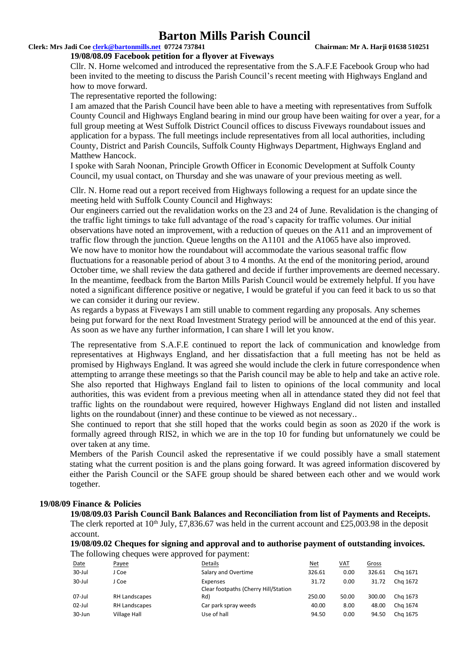#### **Clerk: Mrs Jadi Coe [clerk@bartonmills.net](mailto:clerk@bartonmills.net) 07724 737841 Chairman: Mr A. Harji 01638 510251**

#### **19/08/08.09 Facebook petition for a flyover at Fiveways**

Cllr. N. Horne welcomed and introduced the representative from the S.A.F.E Facebook Group who had been invited to the meeting to discuss the Parish Council's recent meeting with Highways England and how to move forward.

The representative reported the following:

I am amazed that the Parish Council have been able to have a meeting with representatives from Suffolk County Council and Highways England bearing in mind our group have been waiting for over a year, for a full group meeting at West Suffolk District Council offices to discuss Fiveways roundabout issues and application for a bypass. The full meetings include representatives from all local authorities, including County, District and Parish Councils, Suffolk County Highways Department, Highways England and Matthew Hancock.

I spoke with Sarah Noonan, Principle Growth Officer in Economic Development at Suffolk County Council, my usual contact, on Thursday and she was unaware of your previous meeting as well.

Cllr. N. Horne read out a report received from Highways following a request for an update since the meeting held with Suffolk County Council and Highways:

Our engineers carried out the revalidation works on the 23 and 24 of June. Revalidation is the changing of the traffic light timings to take full advantage of the road's capacity for traffic volumes. Our initial observations have noted an improvement, with a reduction of queues on the A11 and an improvement of traffic flow through the junction. Queue lengths on the A1101 and the A1065 have also improved. We now have to monitor how the roundabout will accommodate the various seasonal traffic flow fluctuations for a reasonable period of about 3 to 4 months. At the end of the monitoring period, around October time, we shall review the data gathered and decide if further improvements are deemed necessary. In the meantime, feedback from the Barton Mills Parish Council would be extremely helpful. If you have noted a significant difference positive or negative, I would be grateful if you can feed it back to us so that we can consider it during our review.

As regards a bypass at Fiveways I am still unable to comment regarding any proposals. Any schemes being put forward for the next Road Investment Strategy period will be announced at the end of this year. As soon as we have any further information, I can share I will let you know.

The representative from S.A.F.E continued to report the lack of communication and knowledge from representatives at Highways England, and her dissatisfaction that a full meeting has not be held as promised by Highways England. It was agreed she would include the clerk in future correspondence when attempting to arrange these meetings so that the Parish council may be able to help and take an active role. She also reported that Highways England fail to listen to opinions of the local community and local authorities, this was evident from a previous meeting when all in attendance stated they did not feel that traffic lights on the roundabout were required, however Highways England did not listen and installed lights on the roundabout (inner) and these continue to be viewed as not necessary..

She continued to report that she still hoped that the works could begin as soon as 2020 if the work is formally agreed through RIS2, in which we are in the top 10 for funding but unfornatunely we could be over taken at any time.

Members of the Parish Council asked the representative if we could possibly have a small statement stating what the current position is and the plans going forward. It was agreed information discovered by either the Parish Council or the SAFE group should be shared between each other and we would work together.

#### **19/08/09 Finance & Policies**

**19/08/09.03 Parish Council Bank Balances and Reconciliation from list of Payments and Receipts.** The clerk reported at 10<sup>th</sup> July, £7,836.67 was held in the current account and £25,003.98 in the deposit account.

**19/08/09.02 Cheques for signing and approval and to authorise payment of outstanding invoices.** The following cheques were approved for payment:

| Date      | Payee         | <b>Details</b>                                   | Net    | VAT   | Gross  |          |
|-----------|---------------|--------------------------------------------------|--------|-------|--------|----------|
| 30-Jul    | J Coe         | Salary and Overtime                              | 326.61 | 0.00  | 326.61 | Chg 1671 |
| 30-Jul    | J Coe         | Expenses<br>Clear footpaths (Cherry Hill/Station | 31.72  | 0.00  | 31.72  | Chg 1672 |
| $07$ -Jul | RH Landscapes | Rd)                                              | 250.00 | 50.00 | 300.00 | Chg 1673 |
| $02$ -Jul | RH Landscapes | Car park spray weeds                             | 40.00  | 8.00  | 48.00  | Chg 1674 |
| 30-Jun    | Village Hall  | Use of hall                                      | 94.50  | 0.00  | 94.50  | Chg 1675 |